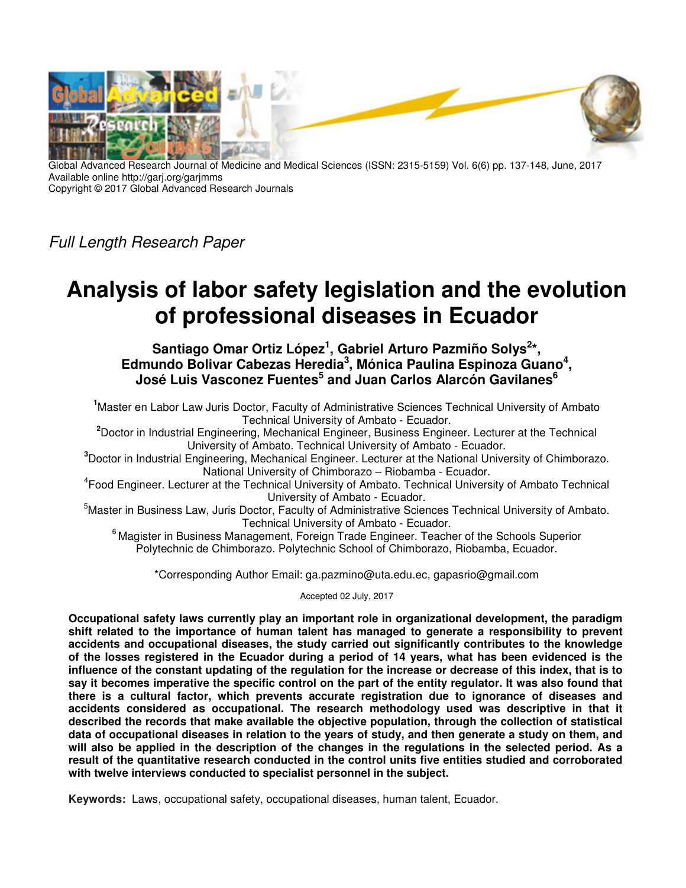

Global Advanced Research Journal of Medicine and Medical Sciences (ISSN: 2315-5159) Vol. 6(6) pp. 137-148, June, 2017 Available online http://garj.org/garjmms Copyright © 2017 Global Advanced Research Journals

*Full Length Research Paper* 

# **Analysis of labor safety legislation and the evolution of professional diseases in Ecuador**

Santiago Omar Ortiz López<sup>1</sup>, Gabriel Arturo Pazmiño Solys<sup>2\*</sup>, **Edmundo Bolivar Cabezas Heredia<sup>3</sup> , Mónica Paulina Espinoza Guano<sup>4</sup> , José Luis Vasconez Fuentes<sup>5</sup> and Juan Carlos Alarcón Gavilanes<sup>6</sup>**

**<sup>1</sup>**Master en Labor Law Juris Doctor, Faculty of Administrative Sciences Technical University of Ambato Technical University of Ambato - Ecuador.

**<sup>2</sup>**Doctor in Industrial Engineering, Mechanical Engineer, Business Engineer. Lecturer at the Technical University of Ambato. Technical University of Ambato - Ecuador.

**<sup>3</sup>**Doctor in Industrial Engineering, Mechanical Engineer. Lecturer at the National University of Chimborazo. National University of Chimborazo – Riobamba - Ecuador.

4 Food Engineer. Lecturer at the Technical University of Ambato. Technical University of Ambato Technical University of Ambato - Ecuador.

<sup>5</sup>Master in Business Law, Juris Doctor, Faculty of Administrative Sciences Technical University of Ambato. Technical University of Ambato - Ecuador.

<sup>6</sup> Magister in Business Management, Foreign Trade Engineer. Teacher of the Schools Superior Polytechnic de Chimborazo. Polytechnic School of Chimborazo, Riobamba, Ecuador.

\*Corresponding Author Email: ga.pazmino@uta.edu.ec, gapasrio@gmail.com

Accepted 02 July, 2017

**Occupational safety laws currently play an important role in organizational development, the paradigm shift related to the importance of human talent has managed to generate a responsibility to prevent accidents and occupational diseases, the study carried out significantly contributes to the knowledge of the losses registered in the Ecuador during a period of 14 years, what has been evidenced is the influence of the constant updating of the regulation for the increase or decrease of this index, that is to say it becomes imperative the specific control on the part of the entity regulator. It was also found that there is a cultural factor, which prevents accurate registration due to ignorance of diseases and accidents considered as occupational. The research methodology used was descriptive in that it described the records that make available the objective population, through the collection of statistical data of occupational diseases in relation to the years of study, and then generate a study on them, and will also be applied in the description of the changes in the regulations in the selected period. As a result of the quantitative research conducted in the control units five entities studied and corroborated with twelve interviews conducted to specialist personnel in the subject.** 

**Keywords:** Laws, occupational safety, occupational diseases, human talent, Ecuador.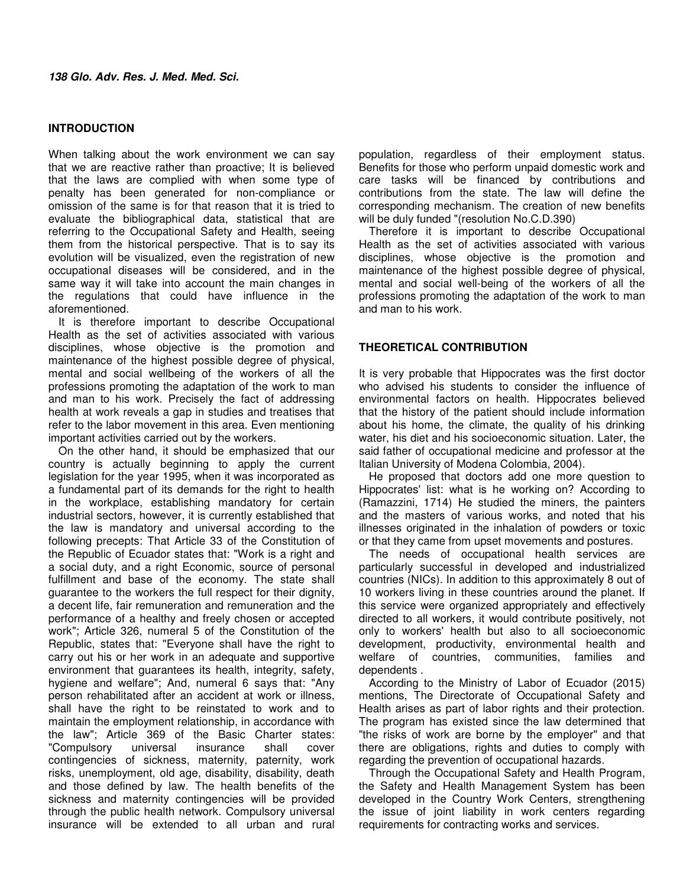## **INTRODUCTION**

When talking about the work environment we can say that we are reactive rather than proactive; It is believed that the laws are complied with when some type of penalty has been generated for non-compliance or omission of the same is for that reason that it is tried to evaluate the bibliographical data, statistical that are referring to the Occupational Safety and Health, seeing them from the historical perspective. That is to say its evolution will be visualized, even the registration of new occupational diseases will be considered, and in the same way it will take into account the main changes in the regulations that could have influence in the aforementioned.

It is therefore important to describe Occupational Health as the set of activities associated with various disciplines, whose objective is the promotion and maintenance of the highest possible degree of physical, mental and social wellbeing of the workers of all the professions promoting the adaptation of the work to man and man to his work. Precisely the fact of addressing health at work reveals a gap in studies and treatises that refer to the labor movement in this area. Even mentioning important activities carried out by the workers.

On the other hand, it should be emphasized that our country is actually beginning to apply the current legislation for the year 1995, when it was incorporated as a fundamental part of its demands for the right to health in the workplace, establishing mandatory for certain industrial sectors, however, it is currently established that the law is mandatory and universal according to the following precepts: That Article 33 of the Constitution of the Republic of Ecuador states that: "Work is a right and a social duty, and a right Economic, source of personal fulfillment and base of the economy. The state shall guarantee to the workers the full respect for their dignity, a decent life, fair remuneration and remuneration and the performance of a healthy and freely chosen or accepted work"; Article 326, numeral 5 of the Constitution of the Republic, states that: "Everyone shall have the right to carry out his or her work in an adequate and supportive environment that guarantees its health, integrity, safety, hygiene and welfare"; And, numeral 6 says that: "Any person rehabilitated after an accident at work or illness, shall have the right to be reinstated to work and to maintain the employment relationship, in accordance with the law"; Article 369 of the Basic Charter states:<br>"Compulsory universal insurance shall cover "Compulsory universal insurance shall cover contingencies of sickness, maternity, paternity, work risks, unemployment, old age, disability, disability, death and those defined by law. The health benefits of the sickness and maternity contingencies will be provided through the public health network. Compulsory universal insurance will be extended to all urban and rural population, regardless of their employment status. Benefits for those who perform unpaid domestic work and care tasks will be financed by contributions and contributions from the state. The law will define the corresponding mechanism. The creation of new benefits will be duly funded "(resolution No.C.D.390)

Therefore it is important to describe Occupational Health as the set of activities associated with various disciplines, whose objective is the promotion and maintenance of the highest possible degree of physical, mental and social well-being of the workers of all the professions promoting the adaptation of the work to man and man to his work.

# **THEORETICAL CONTRIBUTION**

It is very probable that Hippocrates was the first doctor who advised his students to consider the influence of environmental factors on health. Hippocrates believed that the history of the patient should include information about his home, the climate, the quality of his drinking water, his diet and his socioeconomic situation. Later, the said father of occupational medicine and professor at the Italian University of Modena Colombia, 2004).

He proposed that doctors add one more question to Hippocrates' list: what is he working on? According to (Ramazzini, 1714) He studied the miners, the painters and the masters of various works, and noted that his illnesses originated in the inhalation of powders or toxic or that they came from upset movements and postures.

The needs of occupational health services are particularly successful in developed and industrialized countries (NICs). In addition to this approximately 8 out of 10 workers living in these countries around the planet. If this service were organized appropriately and effectively directed to all workers, it would contribute positively, not only to workers' health but also to all socioeconomic development, productivity, environmental health and welfare of countries, communities, families and dependents .

According to the Ministry of Labor of Ecuador (2015) mentions, The Directorate of Occupational Safety and Health arises as part of labor rights and their protection. The program has existed since the law determined that "the risks of work are borne by the employer" and that there are obligations, rights and duties to comply with regarding the prevention of occupational hazards.

Through the Occupational Safety and Health Program, the Safety and Health Management System has been developed in the Country Work Centers, strengthening the issue of joint liability in work centers regarding requirements for contracting works and services.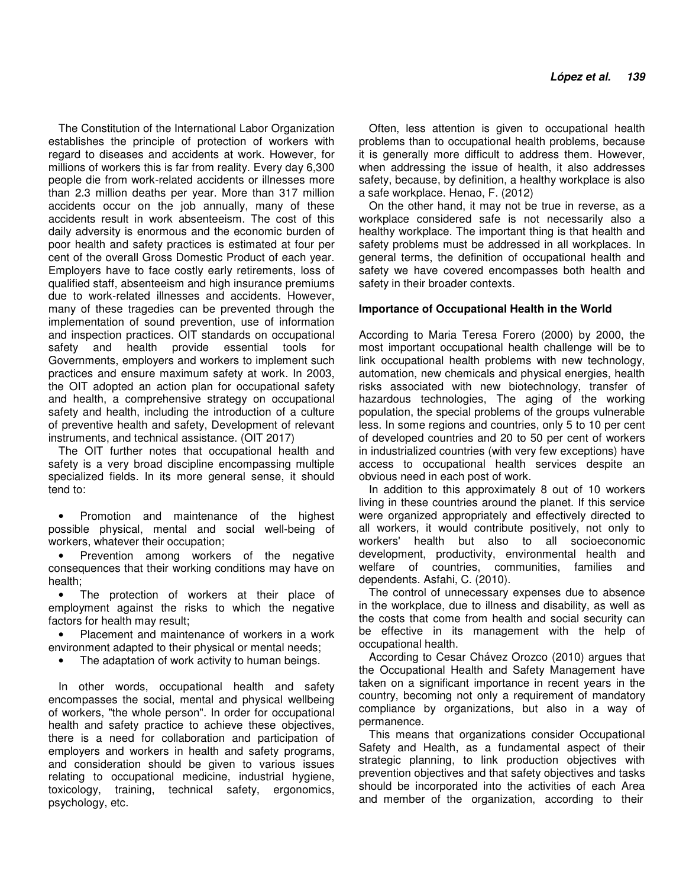The Constitution of the International Labor Organization establishes the principle of protection of workers with regard to diseases and accidents at work. However, for millions of workers this is far from reality. Every day 6,300 people die from work-related accidents or illnesses more than 2.3 million deaths per year. More than 317 million accidents occur on the job annually, many of these accidents result in work absenteeism. The cost of this daily adversity is enormous and the economic burden of poor health and safety practices is estimated at four per cent of the overall Gross Domestic Product of each year. Employers have to face costly early retirements, loss of qualified staff, absenteeism and high insurance premiums due to work-related illnesses and accidents. However, many of these tragedies can be prevented through the implementation of sound prevention, use of information and inspection practices. OIT standards on occupational safety and health provide essential tools for Governments, employers and workers to implement such practices and ensure maximum safety at work. In 2003, the OIT adopted an action plan for occupational safety and health, a comprehensive strategy on occupational safety and health, including the introduction of a culture of preventive health and safety, Development of relevant instruments, and technical assistance. (OIT 2017)

The OIT further notes that occupational health and safety is a very broad discipline encompassing multiple specialized fields. In its more general sense, it should tend to:

• Promotion and maintenance of the highest possible physical, mental and social well-being of workers, whatever their occupation;

• Prevention among workers of the negative consequences that their working conditions may have on health;

The protection of workers at their place of employment against the risks to which the negative factors for health may result;

• Placement and maintenance of workers in a work environment adapted to their physical or mental needs;

The adaptation of work activity to human beings.

In other words, occupational health and safety encompasses the social, mental and physical wellbeing of workers, "the whole person". In order for occupational health and safety practice to achieve these objectives, there is a need for collaboration and participation of employers and workers in health and safety programs, and consideration should be given to various issues relating to occupational medicine, industrial hygiene, toxicology, training, technical safety, ergonomics, psychology, etc.

Often, less attention is given to occupational health problems than to occupational health problems, because it is generally more difficult to address them. However, when addressing the issue of health, it also addresses safety, because, by definition, a healthy workplace is also a safe workplace. Henao, F. (2012)

On the other hand, it may not be true in reverse, as a workplace considered safe is not necessarily also a healthy workplace. The important thing is that health and safety problems must be addressed in all workplaces. In general terms, the definition of occupational health and safety we have covered encompasses both health and safety in their broader contexts.

## **Importance of Occupational Health in the World**

According to Maria Teresa Forero (2000) by 2000, the most important occupational health challenge will be to link occupational health problems with new technology, automation, new chemicals and physical energies, health risks associated with new biotechnology, transfer of hazardous technologies, The aging of the working population, the special problems of the groups vulnerable less. In some regions and countries, only 5 to 10 per cent of developed countries and 20 to 50 per cent of workers in industrialized countries (with very few exceptions) have access to occupational health services despite an obvious need in each post of work.

In addition to this approximately 8 out of 10 workers living in these countries around the planet. If this service were organized appropriately and effectively directed to all workers, it would contribute positively, not only to workers' health but also to all socioeconomic development, productivity, environmental health and welfare of countries, communities, families and dependents. Asfahi, C. (2010).

The control of unnecessary expenses due to absence in the workplace, due to illness and disability, as well as the costs that come from health and social security can be effective in its management with the help of occupational health.

According to Cesar Chávez Orozco (2010) argues that the Occupational Health and Safety Management have taken on a significant importance in recent years in the country, becoming not only a requirement of mandatory compliance by organizations, but also in a way of permanence.

This means that organizations consider Occupational Safety and Health, as a fundamental aspect of their strategic planning, to link production objectives with prevention objectives and that safety objectives and tasks should be incorporated into the activities of each Area and member of the organization, according to their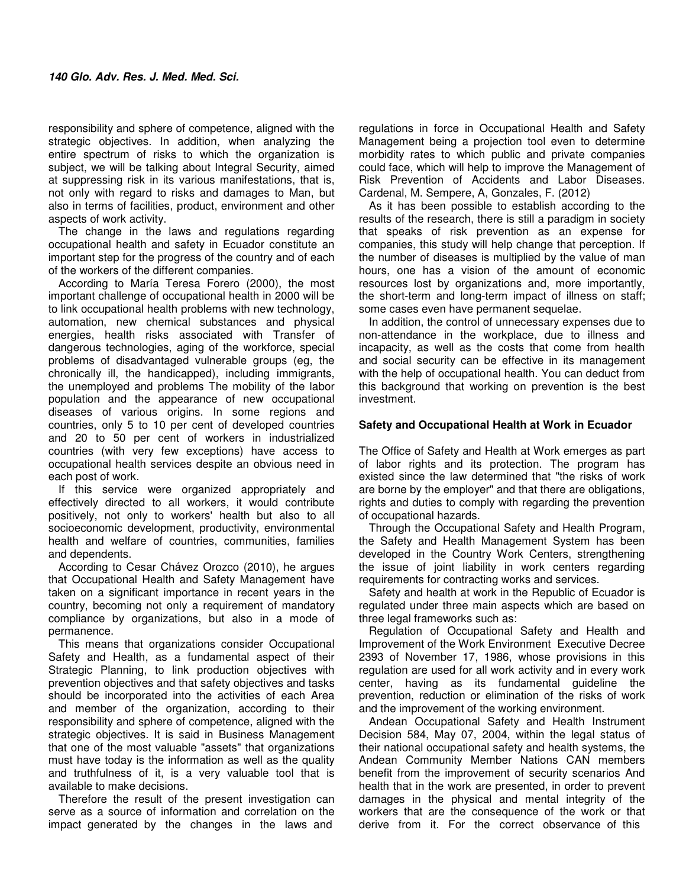responsibility and sphere of competence, aligned with the strategic objectives. In addition, when analyzing the entire spectrum of risks to which the organization is subject, we will be talking about Integral Security, aimed at suppressing risk in its various manifestations, that is, not only with regard to risks and damages to Man, but also in terms of facilities, product, environment and other aspects of work activity.

The change in the laws and regulations regarding occupational health and safety in Ecuador constitute an important step for the progress of the country and of each of the workers of the different companies.

According to María Teresa Forero (2000), the most important challenge of occupational health in 2000 will be to link occupational health problems with new technology, automation, new chemical substances and physical energies, health risks associated with Transfer of dangerous technologies, aging of the workforce, special problems of disadvantaged vulnerable groups (eg, the chronically ill, the handicapped), including immigrants, the unemployed and problems The mobility of the labor population and the appearance of new occupational diseases of various origins. In some regions and countries, only 5 to 10 per cent of developed countries and 20 to 50 per cent of workers in industrialized countries (with very few exceptions) have access to occupational health services despite an obvious need in each post of work.

If this service were organized appropriately and effectively directed to all workers, it would contribute positively, not only to workers' health but also to all socioeconomic development, productivity, environmental health and welfare of countries, communities, families and dependents.

According to Cesar Chávez Orozco (2010), he argues that Occupational Health and Safety Management have taken on a significant importance in recent years in the country, becoming not only a requirement of mandatory compliance by organizations, but also in a mode of permanence.

This means that organizations consider Occupational Safety and Health, as a fundamental aspect of their Strategic Planning, to link production objectives with prevention objectives and that safety objectives and tasks should be incorporated into the activities of each Area and member of the organization, according to their responsibility and sphere of competence, aligned with the strategic objectives. It is said in Business Management that one of the most valuable "assets" that organizations must have today is the information as well as the quality and truthfulness of it, is a very valuable tool that is available to make decisions.

Therefore the result of the present investigation can serve as a source of information and correlation on the impact generated by the changes in the laws and

regulations in force in Occupational Health and Safety Management being a projection tool even to determine morbidity rates to which public and private companies could face, which will help to improve the Management of Risk Prevention of Accidents and Labor Diseases. Cardenal, M. Sempere, A, Gonzales, F. (2012)

As it has been possible to establish according to the results of the research, there is still a paradigm in society that speaks of risk prevention as an expense for companies, this study will help change that perception. If the number of diseases is multiplied by the value of man hours, one has a vision of the amount of economic resources lost by organizations and, more importantly, the short-term and long-term impact of illness on staff; some cases even have permanent sequelae.

In addition, the control of unnecessary expenses due to non-attendance in the workplace, due to illness and incapacity, as well as the costs that come from health and social security can be effective in its management with the help of occupational health. You can deduct from this background that working on prevention is the best investment.

## **Safety and Occupational Health at Work in Ecuador**

The Office of Safety and Health at Work emerges as part of labor rights and its protection. The program has existed since the law determined that "the risks of work are borne by the employer" and that there are obligations, rights and duties to comply with regarding the prevention of occupational hazards.

Through the Occupational Safety and Health Program, the Safety and Health Management System has been developed in the Country Work Centers, strengthening the issue of joint liability in work centers regarding requirements for contracting works and services.

Safety and health at work in the Republic of Ecuador is regulated under three main aspects which are based on three legal frameworks such as:

Regulation of Occupational Safety and Health and Improvement of the Work Environment Executive Decree 2393 of November 17, 1986, whose provisions in this regulation are used for all work activity and in every work center, having as its fundamental guideline the prevention, reduction or elimination of the risks of work and the improvement of the working environment.

Andean Occupational Safety and Health Instrument Decision 584, May 07, 2004, within the legal status of their national occupational safety and health systems, the Andean Community Member Nations CAN members benefit from the improvement of security scenarios And health that in the work are presented, in order to prevent damages in the physical and mental integrity of the workers that are the consequence of the work or that derive from it. For the correct observance of this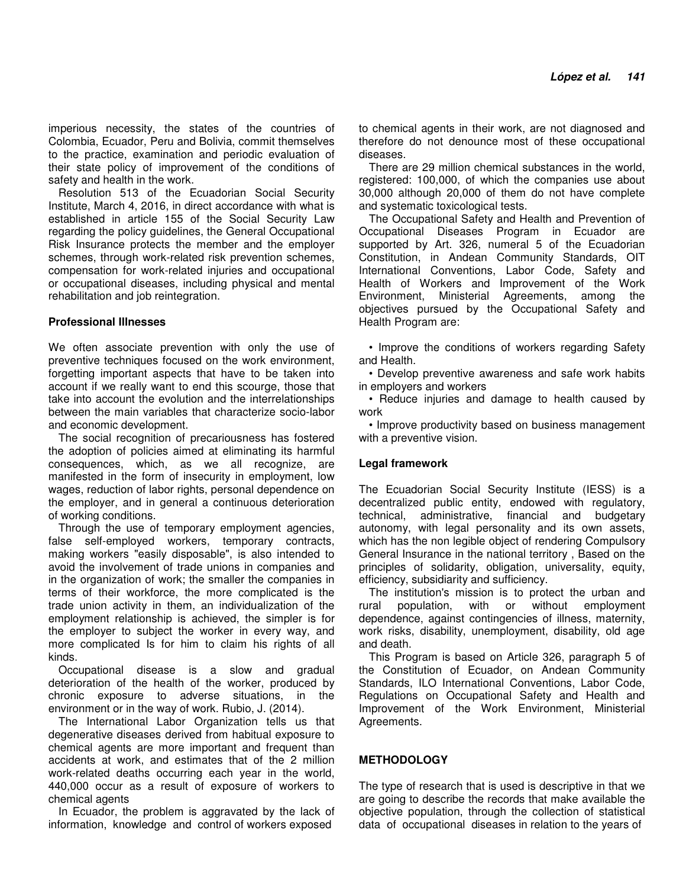imperious necessity, the states of the countries of Colombia, Ecuador, Peru and Bolivia, commit themselves to the practice, examination and periodic evaluation of their state policy of improvement of the conditions of safety and health in the work.

Resolution 513 of the Ecuadorian Social Security Institute, March 4, 2016, in direct accordance with what is established in article 155 of the Social Security Law regarding the policy guidelines, the General Occupational Risk Insurance protects the member and the employer schemes, through work-related risk prevention schemes, compensation for work-related injuries and occupational or occupational diseases, including physical and mental rehabilitation and job reintegration.

## **Professional Illnesses**

We often associate prevention with only the use of preventive techniques focused on the work environment, forgetting important aspects that have to be taken into account if we really want to end this scourge, those that take into account the evolution and the interrelationships between the main variables that characterize socio-labor and economic development.

The social recognition of precariousness has fostered the adoption of policies aimed at eliminating its harmful consequences, which, as we all recognize, are manifested in the form of insecurity in employment, low wages, reduction of labor rights, personal dependence on the employer, and in general a continuous deterioration of working conditions.

Through the use of temporary employment agencies, false self-employed workers, temporary contracts, making workers "easily disposable", is also intended to avoid the involvement of trade unions in companies and in the organization of work; the smaller the companies in terms of their workforce, the more complicated is the trade union activity in them, an individualization of the employment relationship is achieved, the simpler is for the employer to subject the worker in every way, and more complicated Is for him to claim his rights of all kinds.

Occupational disease is a slow and gradual deterioration of the health of the worker, produced by chronic exposure to adverse situations, in the environment or in the way of work. Rubio, J. (2014).

The International Labor Organization tells us that degenerative diseases derived from habitual exposure to chemical agents are more important and frequent than accidents at work, and estimates that of the 2 million work-related deaths occurring each year in the world, 440,000 occur as a result of exposure of workers to chemical agents

In Ecuador, the problem is aggravated by the lack of information, knowledge and control of workers exposed

to chemical agents in their work, are not diagnosed and therefore do not denounce most of these occupational diseases.

There are 29 million chemical substances in the world, registered: 100,000, of which the companies use about 30,000 although 20,000 of them do not have complete and systematic toxicological tests.

The Occupational Safety and Health and Prevention of Occupational Diseases Program in Ecuador are supported by Art. 326, numeral 5 of the Ecuadorian Constitution, in Andean Community Standards, OIT International Conventions, Labor Code, Safety and Health of Workers and Improvement of the Work Environment, Ministerial Agreements, among the objectives pursued by the Occupational Safety and Health Program are:

• Improve the conditions of workers regarding Safety and Health.

• Develop preventive awareness and safe work habits in employers and workers

• Reduce injuries and damage to health caused by work

• Improve productivity based on business management with a preventive vision.

## **Legal framework**

The Ecuadorian Social Security Institute (IESS) is a decentralized public entity, endowed with regulatory, technical, administrative, financial and budgetary autonomy, with legal personality and its own assets, which has the non legible object of rendering Compulsory General Insurance in the national territory , Based on the principles of solidarity, obligation, universality, equity, efficiency, subsidiarity and sufficiency.

The institution's mission is to protect the urban and rural population, with or without employment dependence, against contingencies of illness, maternity, work risks, disability, unemployment, disability, old age and death.

This Program is based on Article 326, paragraph 5 of the Constitution of Ecuador, on Andean Community Standards, ILO International Conventions, Labor Code, Regulations on Occupational Safety and Health and Improvement of the Work Environment, Ministerial Agreements.

# **METHODOLOGY**

The type of research that is used is descriptive in that we are going to describe the records that make available the objective population, through the collection of statistical data of occupational diseases in relation to the years of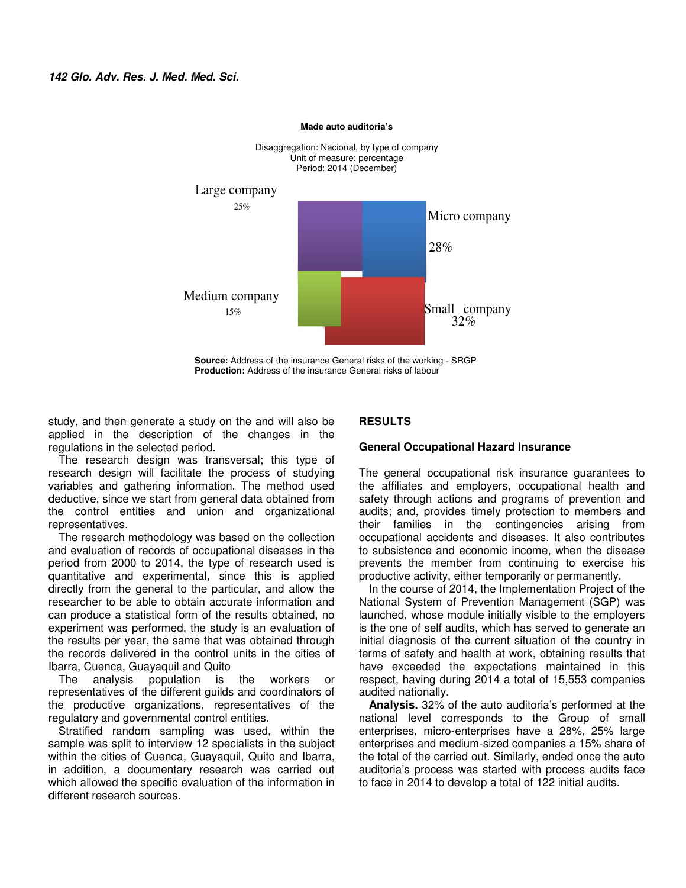

**Made auto auditoria's** 

**Source:** Address of the insurance General risks of the working - SRGP **Production:** Address of the insurance General risks of labour

study, and then generate a study on the and will also be applied in the description of the changes in the regulations in the selected period.

The research design was transversal; this type of research design will facilitate the process of studying variables and gathering information. The method used deductive, since we start from general data obtained from the control entities and union and organizational representatives.

The research methodology was based on the collection and evaluation of records of occupational diseases in the period from 2000 to 2014, the type of research used is quantitative and experimental, since this is applied directly from the general to the particular, and allow the researcher to be able to obtain accurate information and can produce a statistical form of the results obtained, no experiment was performed, the study is an evaluation of the results per year, the same that was obtained through the records delivered in the control units in the cities of Ibarra, Cuenca, Guayaquil and Quito

The analysis population is the workers or representatives of the different guilds and coordinators of the productive organizations, representatives of the regulatory and governmental control entities.

Stratified random sampling was used, within the sample was split to interview 12 specialists in the subject within the cities of Cuenca, Guayaquil, Quito and Ibarra, in addition, a documentary research was carried out which allowed the specific evaluation of the information in different research sources.

# **RESULTS**

## **General Occupational Hazard Insurance**

The general occupational risk insurance guarantees to the affiliates and employers, occupational health and safety through actions and programs of prevention and audits; and, provides timely protection to members and their families in the contingencies arising from occupational accidents and diseases. It also contributes to subsistence and economic income, when the disease prevents the member from continuing to exercise his productive activity, either temporarily or permanently.

In the course of 2014, the Implementation Project of the National System of Prevention Management (SGP) was launched, whose module initially visible to the employers is the one of self audits, which has served to generate an initial diagnosis of the current situation of the country in terms of safety and health at work, obtaining results that have exceeded the expectations maintained in this respect, having during 2014 a total of 15,553 companies audited nationally.

**Analysis.** 32% of the auto auditoria's performed at the national level corresponds to the Group of small enterprises, micro-enterprises have a 28%, 25% large enterprises and medium-sized companies a 15% share of the total of the carried out. Similarly, ended once the auto auditoria's process was started with process audits face to face in 2014 to develop a total of 122 initial audits.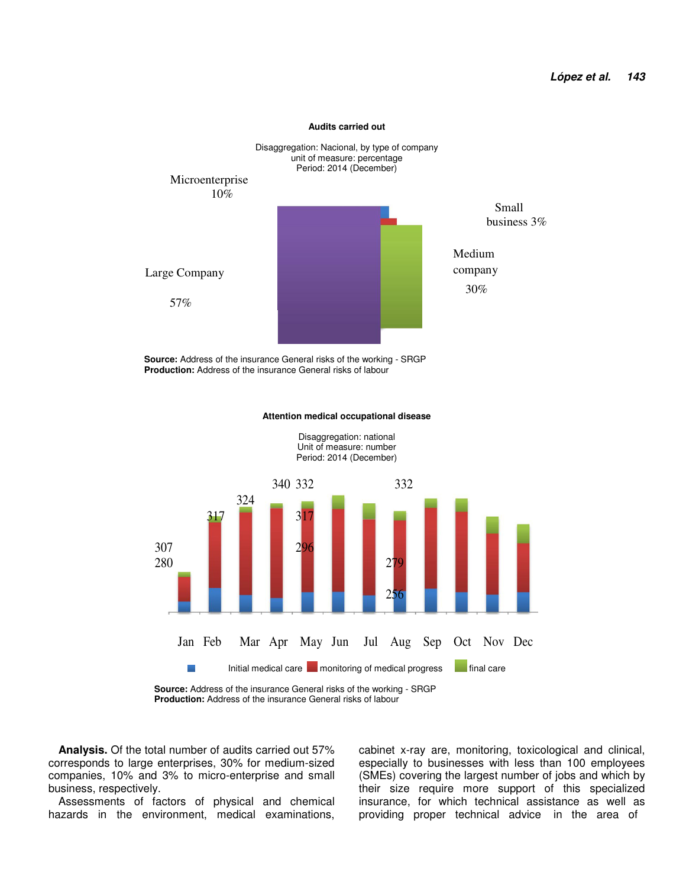

#### **Audits carried out**

**Source:** Address of the insurance General risks of the working - SRGP **Production:** Address of the insurance General risks of labour

#### **Attention medical occupational disease**



Disaggregation: national

**Source:** Address of the insurance General risks of the working - SRGP **Production:** Address of the insurance General risks of labour

**Analysis.** Of the total number of audits carried out 57% corresponds to large enterprises, 30% for medium-sized companies, 10% and 3% to micro-enterprise and small business, respectively.

Assessments of factors of physical and chemical hazards in the environment, medical examinations, cabinet x-ray are, monitoring, toxicological and clinical, especially to businesses with less than 100 employees (SMEs) covering the largest number of jobs and which by their size require more support of this specialized insurance, for which technical assistance as well as providing proper technical advice in the area of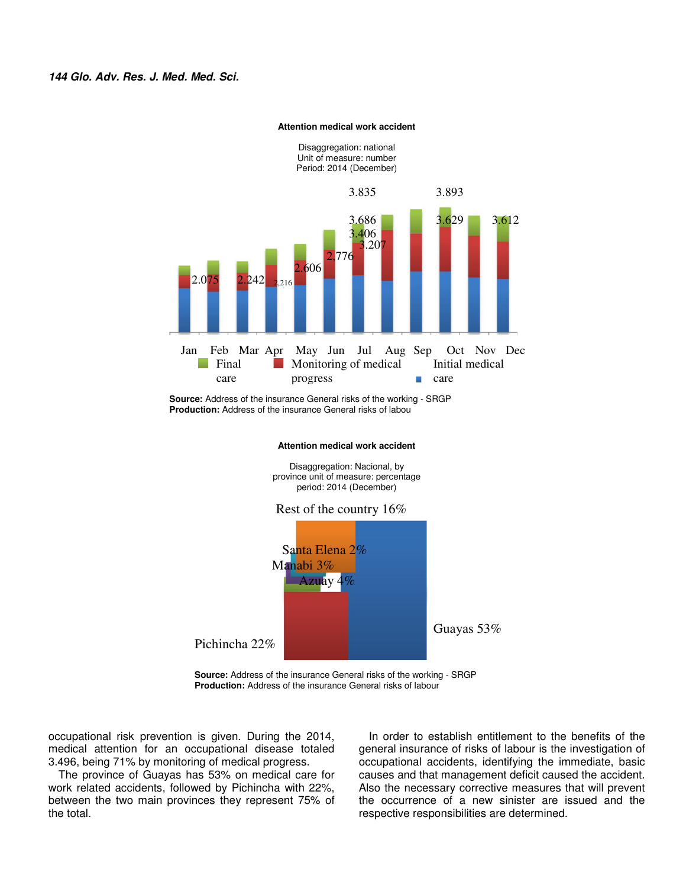

#### **Attention medical work accident**

**Source:** Address of the insurance General risks of the working - SRGP **Production:** Address of the insurance General risks of labou

## **Attention medical work accident**

Disaggregation: Nacional, by province unit of measure: percentage period: 2014 (December)

## Rest of the country 16%



**Source:** Address of the insurance General risks of the working - SRGP **Production:** Address of the insurance General risks of labour

occupational risk prevention is given. During the 2014, medical attention for an occupational disease totaled 3.496, being 71% by monitoring of medical progress.

The province of Guayas has 53% on medical care for work related accidents, followed by Pichincha with 22%, between the two main provinces they represent 75% of the total.

In order to establish entitlement to the benefits of the general insurance of risks of labour is the investigation of occupational accidents, identifying the immediate, basic causes and that management deficit caused the accident. Also the necessary corrective measures that will prevent the occurrence of a new sinister are issued and the respective responsibilities are determined.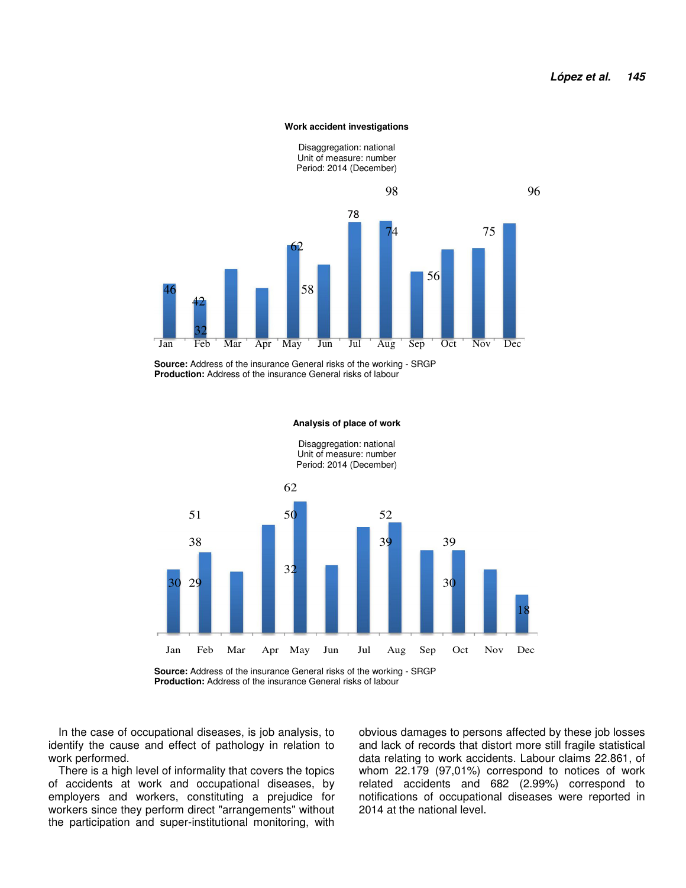#### **Work accident investigations**



**Source:** Address of the insurance General risks of the working - SRGP **Production:** Address of the insurance General risks of labour



#### **Analysis of place of work**

Disaggregation: national Unit of measure: number Period: 2014 (December)

**Production:** Address of the insurance General risks of labour

In the case of occupational diseases, is job analysis, to identify the cause and effect of pathology in relation to work performed.

There is a high level of informality that covers the topics of accidents at work and occupational diseases, by employers and workers, constituting a prejudice for workers since they perform direct "arrangements" without the participation and super-institutional monitoring, with obvious damages to persons affected by these job losses and lack of records that distort more still fragile statistical data relating to work accidents. Labour claims 22.861, of whom 22.179 (97,01%) correspond to notices of work related accidents and 682 (2.99%) correspond to notifications of occupational diseases were reported in 2014 at the national level.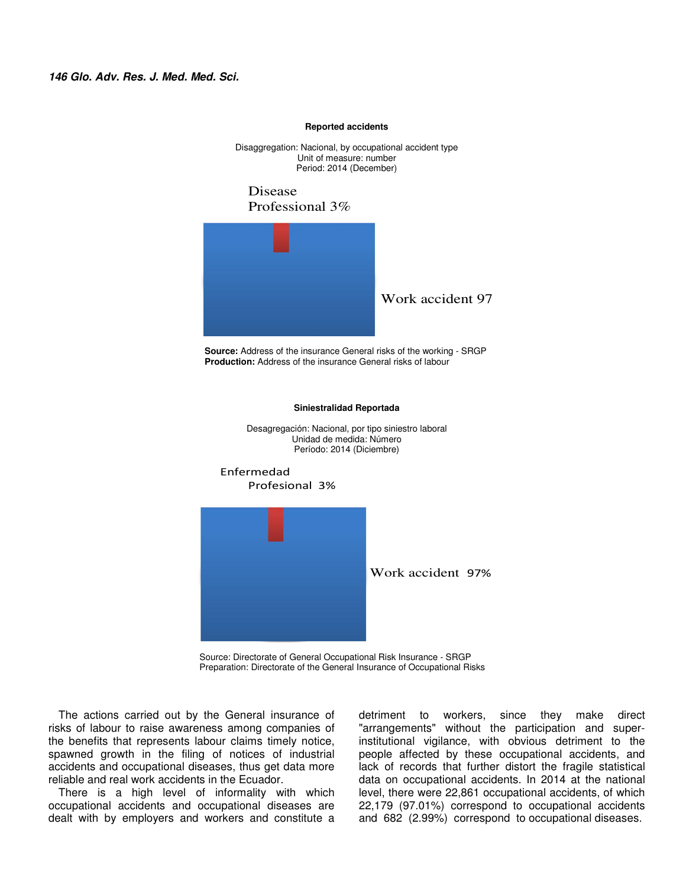#### **Reported accidents**

Disaggregation: Nacional, by occupational accident type Unit of measure: number Period: 2014 (December)

Disease Professional 3%



**Source:** Address of the insurance General risks of the working - SRGP **Production:** Address of the insurance General risks of labour



**Siniestralidad Reportada** 

Source: Directorate of General Occupational Risk Insurance - SRGP Preparation: Directorate of the General Insurance of Occupational Risks

The actions carried out by the General insurance of risks of labour to raise awareness among companies of the benefits that represents labour claims timely notice, spawned growth in the filing of notices of industrial accidents and occupational diseases, thus get data more reliable and real work accidents in the Ecuador.

There is a high level of informality with which occupational accidents and occupational diseases are dealt with by employers and workers and constitute a

detriment to workers, since they make direct "arrangements" without the participation and superinstitutional vigilance, with obvious detriment to the people affected by these occupational accidents, and lack of records that further distort the fragile statistical data on occupational accidents. In 2014 at the national level, there were 22,861 occupational accidents, of which 22,179 (97.01%) correspond to occupational accidents and 682 (2.99%) correspond to occupational diseases.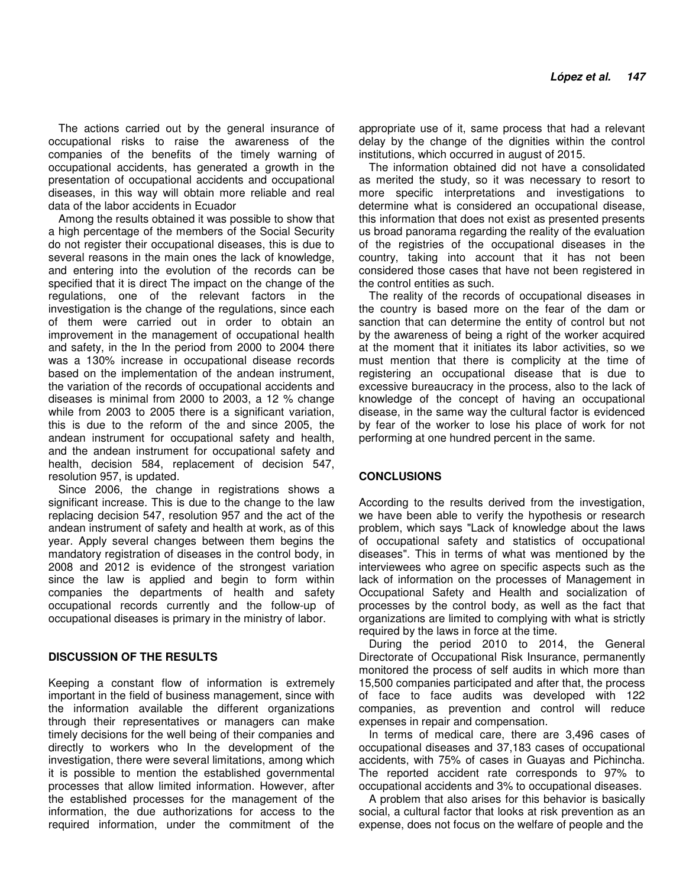The actions carried out by the general insurance of occupational risks to raise the awareness of the companies of the benefits of the timely warning of occupational accidents, has generated a growth in the presentation of occupational accidents and occupational diseases, in this way will obtain more reliable and real data of the labor accidents in Ecuador

Among the results obtained it was possible to show that a high percentage of the members of the Social Security do not register their occupational diseases, this is due to several reasons in the main ones the lack of knowledge, and entering into the evolution of the records can be specified that it is direct The impact on the change of the regulations, one of the relevant factors in the investigation is the change of the regulations, since each of them were carried out in order to obtain an improvement in the management of occupational health and safety, in the In the period from 2000 to 2004 there was a 130% increase in occupational disease records based on the implementation of the andean instrument, the variation of the records of occupational accidents and diseases is minimal from 2000 to 2003, a 12 % change while from 2003 to 2005 there is a significant variation, this is due to the reform of the and since 2005, the andean instrument for occupational safety and health, and the andean instrument for occupational safety and health, decision 584, replacement of decision 547, resolution 957, is updated.

Since 2006, the change in registrations shows a significant increase. This is due to the change to the law replacing decision 547, resolution 957 and the act of the andean instrument of safety and health at work, as of this year. Apply several changes between them begins the mandatory registration of diseases in the control body, in 2008 and 2012 is evidence of the strongest variation since the law is applied and begin to form within companies the departments of health and safety occupational records currently and the follow-up of occupational diseases is primary in the ministry of labor.

## **DISCUSSION OF THE RESULTS**

Keeping a constant flow of information is extremely important in the field of business management, since with the information available the different organizations through their representatives or managers can make timely decisions for the well being of their companies and directly to workers who In the development of the investigation, there were several limitations, among which it is possible to mention the established governmental processes that allow limited information. However, after the established processes for the management of the information, the due authorizations for access to the required information, under the commitment of the appropriate use of it, same process that had a relevant delay by the change of the dignities within the control institutions, which occurred in august of 2015.

The information obtained did not have a consolidated as merited the study, so it was necessary to resort to more specific interpretations and investigations to determine what is considered an occupational disease, this information that does not exist as presented presents us broad panorama regarding the reality of the evaluation of the registries of the occupational diseases in the country, taking into account that it has not been considered those cases that have not been registered in the control entities as such.

The reality of the records of occupational diseases in the country is based more on the fear of the dam or sanction that can determine the entity of control but not by the awareness of being a right of the worker acquired at the moment that it initiates its labor activities, so we must mention that there is complicity at the time of registering an occupational disease that is due to excessive bureaucracy in the process, also to the lack of knowledge of the concept of having an occupational disease, in the same way the cultural factor is evidenced by fear of the worker to lose his place of work for not performing at one hundred percent in the same.

## **CONCLUSIONS**

According to the results derived from the investigation, we have been able to verify the hypothesis or research problem, which says "Lack of knowledge about the laws of occupational safety and statistics of occupational diseases". This in terms of what was mentioned by the interviewees who agree on specific aspects such as the lack of information on the processes of Management in Occupational Safety and Health and socialization of processes by the control body, as well as the fact that organizations are limited to complying with what is strictly required by the laws in force at the time.

During the period 2010 to 2014, the General Directorate of Occupational Risk Insurance, permanently monitored the process of self audits in which more than 15,500 companies participated and after that, the process of face to face audits was developed with 122 companies, as prevention and control will reduce expenses in repair and compensation.

In terms of medical care, there are 3,496 cases of occupational diseases and 37,183 cases of occupational accidents, with 75% of cases in Guayas and Pichincha. The reported accident rate corresponds to 97% to occupational accidents and 3% to occupational diseases.

A problem that also arises for this behavior is basically social, a cultural factor that looks at risk prevention as an expense, does not focus on the welfare of people and the